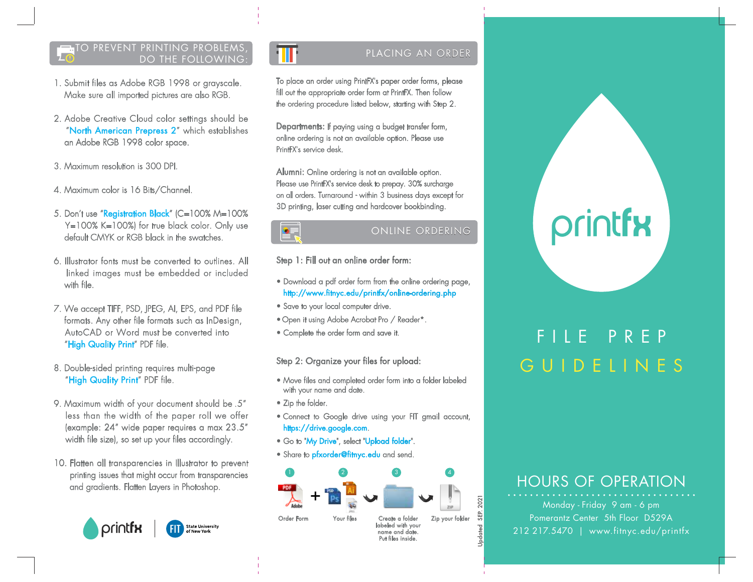#### PREVENT PRINTING PROBLEMS DO THE FOLLOWING:

- 1. Submit files as Adobe RGB 1998 or grayscale. Make sure all imported pictures are also RGB.
- 2. Adobe Creative Cloud color settings should be "North American Prepress 2" which establishes an Adobe RGB 1998 color space.
- 3. Maximum resolution is 300 DPI.
- 4. Maximum color is 16 Bits/Channel.
- 5. Don't use "Registration Black" (C=100% M=100% Y=100% K=100%) for true black color. Only use default CMYK or RGB black in the swatches.
- 6. Illustrator fonts must be converted to outlines. All linked images must be embedded or included with file.
- 7. We accept TIFF, PSD, JPEG, AI, EPS, and PDF file formats. Any other file formats such as InDesign, AutoCAD or Word must be converted into "High Quality Print" PDF file.
- 8. Double-sided printing requires multi-page "High Quality Print" PDF file.
- 9. Maximum width of your document should be .5" less than the width of the paper roll we offer (example: 24" wide paper requires a max 23.5" width file size), so set up your files accordingly.
- 10. Flatten all transparencies in Illustrator to prevent printing issues that might occur from transparencies and gradients. Flatten Layers in Photoshop.



## PLACING AN ORDER

To place an order using PrintFX's paper order forms, please fill out the appropriate order form at PrintFX. Then follow the ordering procedure listed below, starting with Step 2.

Departments: If paying using a budget transfer form, online ordering is not an available option. Please use PrintFX's service desk.

Alumni: Online ordering is not an available option. Please use PrintFX's service desk to prepay. 30% surcharge on all orders. Turnaround - within 3 business days except for 3D printing, laser cutting and hardcover bookbinding.

## ONLINE ORDERING

Step 1: Fill out an online order form:

- Download a pdf order form from the online ordering page, http://www.fitnyc.edu/printfx/online-ordering.php
- Save to your local computer drive.
- Open it using Adobe Acrobat Pro / Reader\*.
- Complete the order form and save it.

Step 2: Organize your files for upload:

- Move files and completed order form into a folder labeled with your name and date.
- Zip the folder.

 $\bullet$ 

- Connect to Google drive using your FIT gmail account, https://drive.google.com.
- Go to "My Drive", select "Upload folder".
- Share to *pfxorder@fitnyc.edu* and send.



# printfx

# FILE PREP GUIDELINES

## HOURS OF OPERATION

Monday - Friday 9 am - 6 pm Pomerantz Center 5th Floor D529A 212 217.5470 | www.fitnyc.edu/printfx